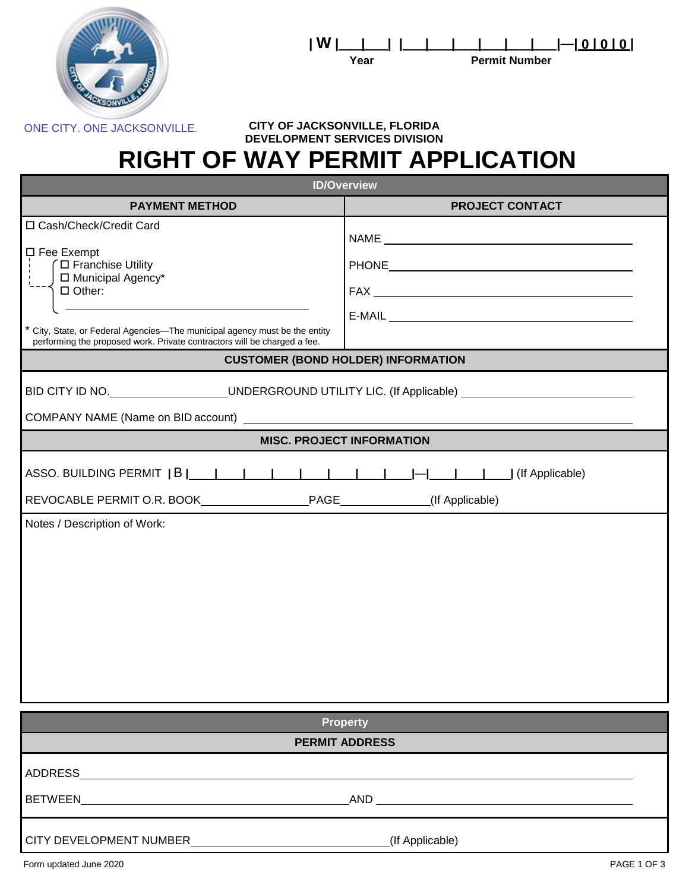



## ONE CITY. ONE JACKSONVILLE. **CITY OF JACKSONVILLE, FLORIDA DEVELOPMENT SERVICES DIVISION RIGHT OF WAY PERMIT APPLICATION**

| <b>ID/Overview</b>                                                                                                                                                                                                                                                                                                                    |                                                       |  |  |  |  |  |
|---------------------------------------------------------------------------------------------------------------------------------------------------------------------------------------------------------------------------------------------------------------------------------------------------------------------------------------|-------------------------------------------------------|--|--|--|--|--|
| <b>PAYMENT METHOD</b>                                                                                                                                                                                                                                                                                                                 | <b>PROJECT CONTACT</b>                                |  |  |  |  |  |
| □ Cash/Check/Credit Card<br>$\square$ Fee Exempt<br>∩ Franchise Utility<br>□ Municipal Agency*<br>$\Box$ Other:<br>* City, State, or Federal Agencies-The municipal agency must be the entity<br>performing the proposed work. Private contractors will be charged a fee.                                                             | PHONE <b>Example 20</b> PHONE <b>EXAMPLE 20 PHONE</b> |  |  |  |  |  |
| <b>CUSTOMER (BOND HOLDER) INFORMATION</b>                                                                                                                                                                                                                                                                                             |                                                       |  |  |  |  |  |
| BID CITY ID NO. ___________________UNDERGROUND UTILITY LIC. (If Applicable) _______________________<br>COMPANY NAME (Name on BID account) Learner and the control of the control of the control of the control of the control of the control of the control of the control of the control of the control of the control of the contro |                                                       |  |  |  |  |  |
| <b>MISC. PROJECT INFORMATION</b>                                                                                                                                                                                                                                                                                                      |                                                       |  |  |  |  |  |
| Notes / Description of Work:                                                                                                                                                                                                                                                                                                          |                                                       |  |  |  |  |  |
| <b>Property</b>                                                                                                                                                                                                                                                                                                                       |                                                       |  |  |  |  |  |
|                                                                                                                                                                                                                                                                                                                                       | <b>PERMIT ADDRESS</b>                                 |  |  |  |  |  |
|                                                                                                                                                                                                                                                                                                                                       |                                                       |  |  |  |  |  |
|                                                                                                                                                                                                                                                                                                                                       | (If Applicable)                                       |  |  |  |  |  |
| Form updated June 2020                                                                                                                                                                                                                                                                                                                | PAGE 1 OF 3                                           |  |  |  |  |  |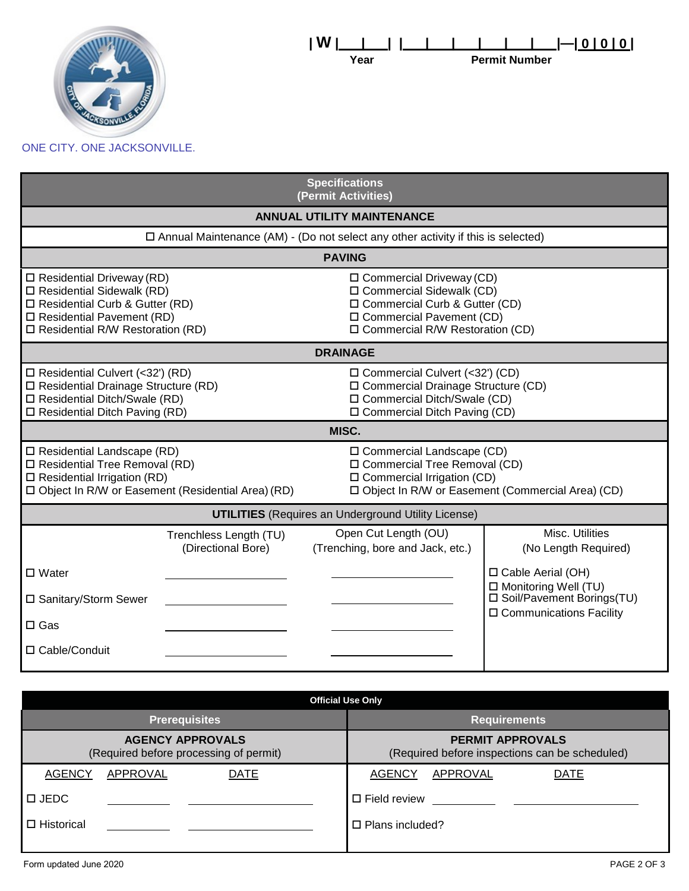

## ONE CITY. ONE JACKSONVILLE.

| <b>Specifications</b><br>(Permit Activities)                                                                                                                                  |                                              |                                                                                                                                                  |                                                                                                                                                                             |  |                                                                                                           |  |
|-------------------------------------------------------------------------------------------------------------------------------------------------------------------------------|----------------------------------------------|--------------------------------------------------------------------------------------------------------------------------------------------------|-----------------------------------------------------------------------------------------------------------------------------------------------------------------------------|--|-----------------------------------------------------------------------------------------------------------|--|
| <b>ANNUAL UTILITY MAINTENANCE</b>                                                                                                                                             |                                              |                                                                                                                                                  |                                                                                                                                                                             |  |                                                                                                           |  |
| $\square$ Annual Maintenance (AM) - (Do not select any other activity if this is selected)                                                                                    |                                              |                                                                                                                                                  |                                                                                                                                                                             |  |                                                                                                           |  |
| <b>PAVING</b>                                                                                                                                                                 |                                              |                                                                                                                                                  |                                                                                                                                                                             |  |                                                                                                           |  |
| $\Box$ Residential Driveway (RD)<br>□ Residential Sidewalk (RD)<br>□ Residential Curb & Gutter (RD)<br>$\Box$ Residential Pavement (RD)<br>□ Residential R/W Restoration (RD) |                                              |                                                                                                                                                  | $\square$ Commercial Driveway (CD)<br>□ Commercial Sidewalk (CD)<br>$\Box$ Commercial Curb & Gutter (CD)<br>□ Commercial Pavement (CD)<br>□ Commercial R/W Restoration (CD) |  |                                                                                                           |  |
| <b>DRAINAGE</b>                                                                                                                                                               |                                              |                                                                                                                                                  |                                                                                                                                                                             |  |                                                                                                           |  |
| □ Residential Culvert (<32') (RD)<br>□ Residential Drainage Structure (RD)<br>□ Residential Ditch/Swale (RD)<br>$\Box$ Residential Ditch Paving (RD)                          |                                              | $\Box$ Commercial Culvert (<32') (CD)<br>□ Commercial Drainage Structure (CD)<br>□ Commercial Ditch/Swale (CD)<br>□ Commercial Ditch Paving (CD) |                                                                                                                                                                             |  |                                                                                                           |  |
| MISC.                                                                                                                                                                         |                                              |                                                                                                                                                  |                                                                                                                                                                             |  |                                                                                                           |  |
| $\Box$ Residential Landscape (RD)<br>□ Residential Tree Removal (RD)<br>$\square$ Residential Irrigation (RD)<br>□ Object In R/W or Easement (Residential Area) (RD)          |                                              |                                                                                                                                                  | $\square$ Commercial Landscape (CD)<br>□ Commercial Tree Removal (CD)<br>$\square$ Commercial Irrigation (CD)<br>□ Object In R/W or Easement (Commercial Area) (CD)         |  |                                                                                                           |  |
| <b>UTILITIES</b> (Requires an Underground Utility License)                                                                                                                    |                                              |                                                                                                                                                  |                                                                                                                                                                             |  |                                                                                                           |  |
|                                                                                                                                                                               | Trenchless Length (TU)<br>(Directional Bore) |                                                                                                                                                  | Open Cut Length (OU)<br>(Trenching, bore and Jack, etc.)                                                                                                                    |  | Misc. Utilities<br>(No Length Required)                                                                   |  |
| $\Box$ Water<br>□ Sanitary/Storm Sewer<br>$\square$ Gas                                                                                                                       |                                              |                                                                                                                                                  |                                                                                                                                                                             |  | □ Cable Aerial (OH)<br>□ Monitoring Well (TU)<br>□ Soil/Pavement Borings(TU)<br>□ Communications Facility |  |
| □ Cable/Conduit                                                                                                                                                               |                                              |                                                                                                                                                  |                                                                                                                                                                             |  |                                                                                                           |  |

| <b>Official Use Only</b>                                                  |  |  |  |  |  |  |
|---------------------------------------------------------------------------|--|--|--|--|--|--|
| <b>Requirements</b>                                                       |  |  |  |  |  |  |
| <b>PERMIT APPROVALS</b><br>(Required before inspections can be scheduled) |  |  |  |  |  |  |
| <b>AGENCY</b><br>APPROVAL<br><b>DATE</b>                                  |  |  |  |  |  |  |
| $\square$ Field review                                                    |  |  |  |  |  |  |
| $\Box$ Plans included?                                                    |  |  |  |  |  |  |
|                                                                           |  |  |  |  |  |  |